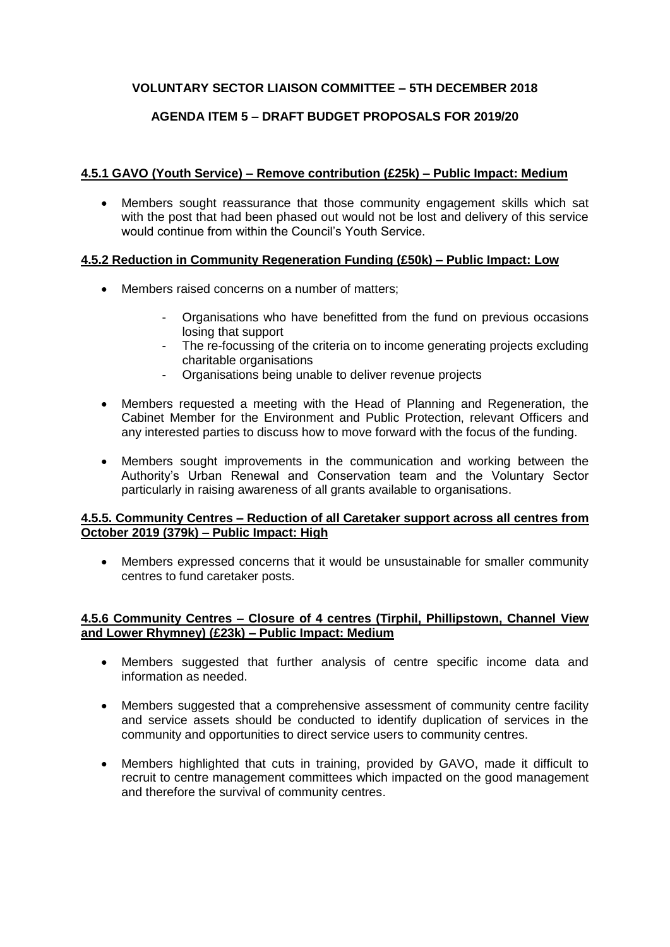# **VOLUNTARY SECTOR LIAISON COMMITTEE – 5TH DECEMBER 2018**

# **AGENDA ITEM 5 – DRAFT BUDGET PROPOSALS FOR 2019/20**

#### **4.5.1 GAVO (Youth Service) – Remove contribution (£25k) – Public Impact: Medium**

 Members sought reassurance that those community engagement skills which sat with the post that had been phased out would not be lost and delivery of this service would continue from within the Council's Youth Service.

## **4.5.2 Reduction in Community Regeneration Funding (£50k) – Public Impact: Low**

- Members raised concerns on a number of matters;
	- Organisations who have benefitted from the fund on previous occasions losing that support
	- The re-focussing of the criteria on to income generating projects excluding charitable organisations
	- Organisations being unable to deliver revenue projects
- Members requested a meeting with the Head of Planning and Regeneration, the Cabinet Member for the Environment and Public Protection, relevant Officers and any interested parties to discuss how to move forward with the focus of the funding.
- Members sought improvements in the communication and working between the Authority's Urban Renewal and Conservation team and the Voluntary Sector particularly in raising awareness of all grants available to organisations.

#### **4.5.5. Community Centres – Reduction of all Caretaker support across all centres from October 2019 (379k) – Public Impact: High**

 Members expressed concerns that it would be unsustainable for smaller community centres to fund caretaker posts.

## **4.5.6 Community Centres – Closure of 4 centres (Tirphil, Phillipstown, Channel View and Lower Rhymney) (£23k) – Public Impact: Medium**

- Members suggested that further analysis of centre specific income data and information as needed.
- Members suggested that a comprehensive assessment of community centre facility and service assets should be conducted to identify duplication of services in the community and opportunities to direct service users to community centres.
- Members highlighted that cuts in training, provided by GAVO, made it difficult to recruit to centre management committees which impacted on the good management and therefore the survival of community centres.